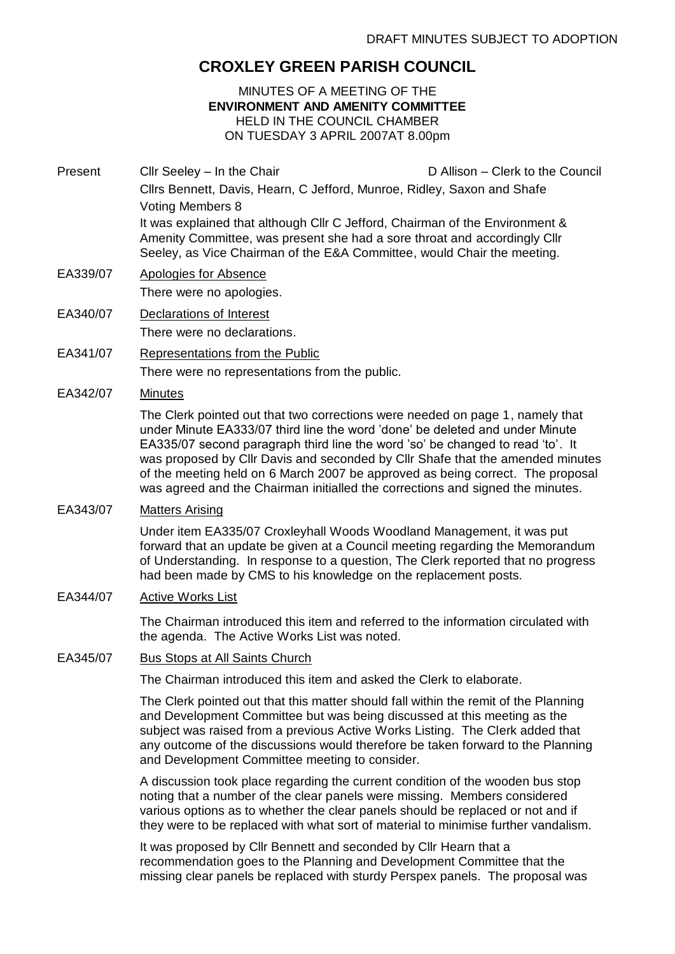# **CROXLEY GREEN PARISH COUNCIL**

## MINUTES OF A MEETING OF THE **ENVIRONMENT AND AMENITY COMMITTEE** HELD IN THE COUNCIL CHAMBER ON TUESDAY 3 APRIL 2007AT 8.00pm

- Present Cllr Seeley In the Chair D Allison Clerk to the Council Cllrs Bennett, Davis, Hearn, C Jefford, Munroe, Ridley, Saxon and Shafe Voting Members 8 It was explained that although Cllr C Jefford, Chairman of the Environment & Amenity Committee, was present she had a sore throat and accordingly Cllr Seeley, as Vice Chairman of the E&A Committee, would Chair the meeting.
- EA339/07 Apologies for Absence There were no apologies.
- EA340/07 Declarations of Interest There were no declarations.
- EA341/07 Representations from the Public There were no representations from the public.
- EA342/07 Minutes

The Clerk pointed out that two corrections were needed on page 1, namely that under Minute EA333/07 third line the word 'done' be deleted and under Minute EA335/07 second paragraph third line the word 'so' be changed to read 'to'. It was proposed by Cllr Davis and seconded by Cllr Shafe that the amended minutes of the meeting held on 6 March 2007 be approved as being correct. The proposal was agreed and the Chairman initialled the corrections and signed the minutes.

EA343/07 Matters Arising

Under item EA335/07 Croxleyhall Woods Woodland Management, it was put forward that an update be given at a Council meeting regarding the Memorandum of Understanding. In response to a question, The Clerk reported that no progress had been made by CMS to his knowledge on the replacement posts.

EA344/07 Active Works List

The Chairman introduced this item and referred to the information circulated with the agenda. The Active Works List was noted.

EA345/07 Bus Stops at All Saints Church

The Chairman introduced this item and asked the Clerk to elaborate.

The Clerk pointed out that this matter should fall within the remit of the Planning and Development Committee but was being discussed at this meeting as the subject was raised from a previous Active Works Listing. The Clerk added that any outcome of the discussions would therefore be taken forward to the Planning and Development Committee meeting to consider.

A discussion took place regarding the current condition of the wooden bus stop noting that a number of the clear panels were missing. Members considered various options as to whether the clear panels should be replaced or not and if they were to be replaced with what sort of material to minimise further vandalism.

It was proposed by Cllr Bennett and seconded by Cllr Hearn that a recommendation goes to the Planning and Development Committee that the missing clear panels be replaced with sturdy Perspex panels. The proposal was